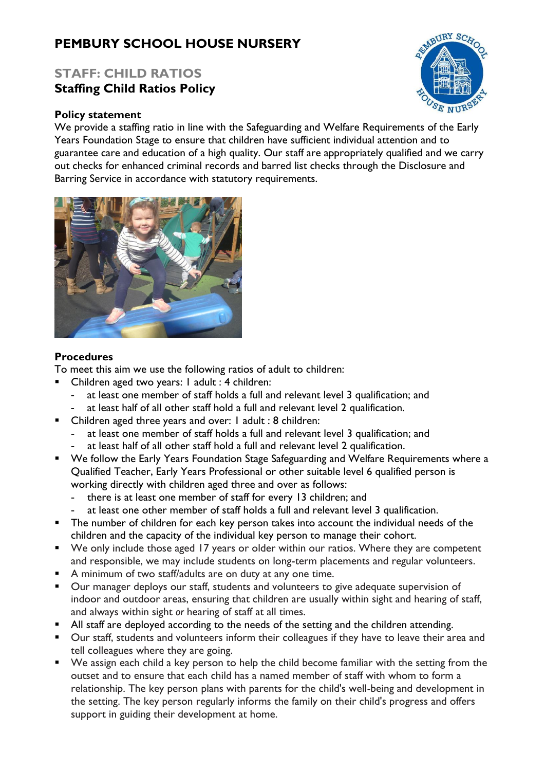# **PEMBURY SCHOOL HOUSE NURSERY**

## **STAFF: CHILD RATIOS Staffing Child Ratios Policy**

#### **Policy statement**

ABURY SCHO

We provide a staffing ratio in line with the Safeguarding and Welfare Requirements of the Early Years Foundation Stage to ensure that children have sufficient individual attention and to guarantee care and education of a high quality. Our staff are appropriately qualified and we carry out checks for enhanced criminal records and barred list checks through the Disclosure and Barring Service in accordance with statutory requirements.



#### **Procedures**

To meet this aim we use the following ratios of adult to children:

- Children aged two years: I adult : 4 children:
	- **-** at least one member of staff holds a full and relevant level 3 qualification; and
	- **-** at least half of all other staff hold a full and relevant level 2 qualification.
- Children aged three years and over: I adult : 8 children:
	- **-** at least one member of staff holds a full and relevant level 3 qualification; and
	- **-** at least half of all other staff hold a full and relevant level 2 qualification.
- We follow the Early Years Foundation Stage Safeguarding and Welfare Requirements where a Qualified Teacher, Early Years Professional or other suitable level 6 qualified person is working directly with children aged three and over as follows:
	- **-** there is at least one member of staff for every 13 children; and
	- **-** at least one other member of staff holds a full and relevant level 3 qualification.
- **The number of children for each key person takes into account the individual needs of the** children and the capacity of the individual key person to manage their cohort.
- We only include those aged 17 years or older within our ratios. Where they are competent and responsible, we may include students on long-term placements and regular volunteers.
- A minimum of two staff/adults are on duty at any one time.
- Our manager deploys our staff, students and volunteers to give adequate supervision of indoor and outdoor areas, ensuring that children are usually within sight and hearing of staff, and always within sight *or* hearing of staff at all times.
- All staff are deployed according to the needs of the setting and the children attending.
- Our staff, students and volunteers inform their colleagues if they have to leave their area and tell colleagues where they are going.
- We assign each child a key person to help the child become familiar with the setting from the outset and to ensure that each child has a named member of staff with whom to form a relationship. The key person plans with parents for the child's well-being and development in the setting. The key person regularly informs the family on their child's progress and offers support in guiding their development at home.